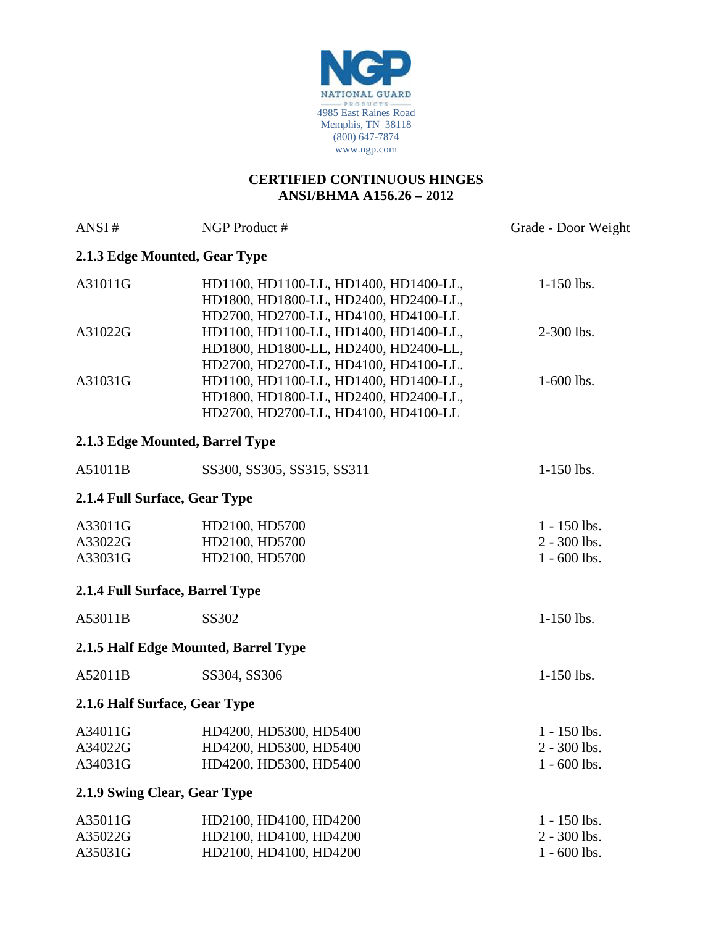

## **CERTIFIED CONTINUOUS HINGES ANSI/BHMA A156.26 – 2012**

| ANSI#                         | NGP Product #                                                                                                                                                   | Grade - Door Weight                                |
|-------------------------------|-----------------------------------------------------------------------------------------------------------------------------------------------------------------|----------------------------------------------------|
|                               | 2.1.3 Edge Mounted, Gear Type                                                                                                                                   |                                                    |
| A31011G                       | HD1100, HD1100-LL, HD1400, HD1400-LL,<br>HD1800, HD1800-LL, HD2400, HD2400-LL,<br>HD2700, HD2700-LL, HD4100, HD4100-LL                                          | $1-150$ lbs.                                       |
| A31022G                       | HD1100, HD1100-LL, HD1400, HD1400-LL,<br>HD1800, HD1800-LL, HD2400, HD2400-LL,                                                                                  | 2-300 lbs.                                         |
| A31031G                       | HD2700, HD2700-LL, HD4100, HD4100-LL.<br>HD1100, HD1100-LL, HD1400, HD1400-LL,<br>HD1800, HD1800-LL, HD2400, HD2400-LL,<br>HD2700, HD2700-LL, HD4100, HD4100-LL | 1-600 lbs.                                         |
|                               | 2.1.3 Edge Mounted, Barrel Type                                                                                                                                 |                                                    |
| A51011B                       | SS300, SS305, SS315, SS311                                                                                                                                      | 1-150 lbs.                                         |
|                               | 2.1.4 Full Surface, Gear Type                                                                                                                                   |                                                    |
| A33011G<br>A33022G<br>A33031G | HD2100, HD5700<br>HD2100, HD5700<br>HD2100, HD5700                                                                                                              | $1 - 150$ lbs.<br>$2 - 300$ lbs.<br>$1 - 600$ lbs. |
|                               | 2.1.4 Full Surface, Barrel Type                                                                                                                                 |                                                    |
| A53011B                       | SS302                                                                                                                                                           | 1-150 lbs.                                         |
|                               | 2.1.5 Half Edge Mounted, Barrel Type                                                                                                                            |                                                    |
| A52011B                       | SS304, SS306                                                                                                                                                    | $1-150$ lbs.                                       |
|                               | 2.1.6 Half Surface, Gear Type                                                                                                                                   |                                                    |
| A34011G<br>A34022G<br>A34031G | HD4200, HD5300, HD5400<br>HD4200, HD5300, HD5400<br>HD4200, HD5300, HD5400                                                                                      | $1 - 150$ lbs.<br>$2 - 300$ lbs.<br>$1 - 600$ lbs. |
|                               | 2.1.9 Swing Clear, Gear Type                                                                                                                                    |                                                    |
| A35011G<br>A35022G<br>A35031G | HD2100, HD4100, HD4200<br>HD2100, HD4100, HD4200<br>HD2100, HD4100, HD4200                                                                                      | $1 - 150$ lbs.<br>2 - 300 lbs.<br>$1 - 600$ lbs.   |